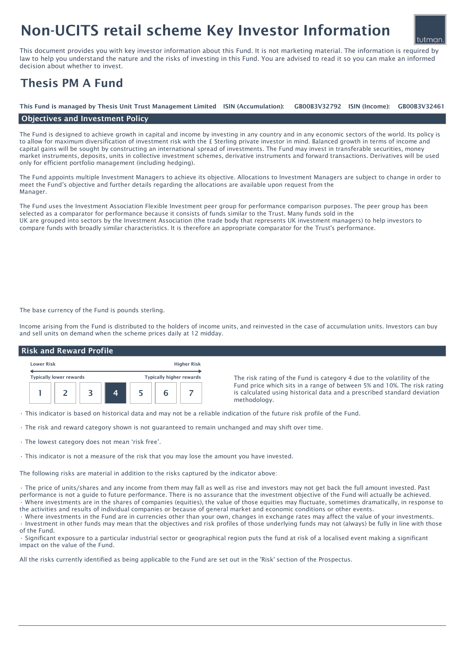# Non-UCITS retail scheme Key Investor Information

This document provides you with key investor information about this Fund. It is not marketing material. The information is required by law to help you understand the nature and the risks of investing in this Fund. You are advised to read it so you can make an informed decision about whether to invest.

# Thesis PM A Fund

#### GB00B3V32792 ISIN (Income): This Fund is managed by Thesis Unit Trust Management Limited ISIN (Accumulation): GB00B3V32792 ISIN (Income): GB00B3V32461

# Objectives and Investment Policy

The Fund is designed to achieve growth in capital and income by investing in any country and in any economic sectors of the world. Its policy is to allow for maximum diversification of investment risk with the  $E$  Sterling private investor in mind. Balanced growth in terms of income and capital gains will be sought by constructing an international spread of investments. The Fund may invest in transferable securities, money market instruments, deposits, units in collective investment schemes, derivative instruments and forward transactions. Derivatives will be used only for efficient portfolio management (including hedging).

The Fund appoints multiple Investment Managers to achieve its objective. Allocations to Investment Managers are subject to change in order to meet the Fund's objective and further details regarding the allocations are available upon request from the Manager.

The Fund uses the Investment Association Flexible Investment peer group for performance comparison purposes. The peer group has been selected as a comparator for performance because it consists of funds similar to the Trust. Many funds sold in the UK are grouped into sectors by the Investment Association (the trade body that represents UK investment managers) to help investors to compare funds with broadly similar characteristics. It is therefore an appropriate comparator for the Trust's performance.

The base currency of the Fund is pounds sterling.

Income arising from the Fund is distributed to the holders of income units, and reinvested in the case of accumulation units. Investors can buy and sell units on demand when the scheme prices daily at 12 midday.

## Risk and Reward Profile

| <b>Lower Risk</b> |                                |  |  | <b>Higher Risk</b> |                          |  |
|-------------------|--------------------------------|--|--|--------------------|--------------------------|--|
|                   | <b>Typically lower rewards</b> |  |  |                    | Typically higher rewards |  |
|                   |                                |  |  |                    |                          |  |
|                   |                                |  |  |                    |                          |  |

The risk rating of the Fund is category 4 due to the volatility of the Fund price which sits in a range of between 5% and 10%. The risk rating is calculated using historical data and a prescribed standard deviation methodology.

• This indicator is based on historical data and may not be a reliable indication of the future risk profile of the Fund.

- The risk and reward category shown is not guaranteed to remain unchanged and may shift over time.
- The lowest category does not mean 'risk free'.
- This indicator is not a measure of the risk that you may lose the amount you have invested.

The following risks are material in addition to the risks captured by the indicator above:

• The price of units/shares and any income from them may fall as well as rise and investors may not get back the full amount invested. Past performance is not a guide to future performance. There is no assurance that the investment objective of the Fund will actually be achieved. • Where investments are in the shares of companies (equities), the value of those equities may fluctuate, sometimes dramatically, in response to the activities and results of individual companies or because of general market and economic conditions or other events.

• Where investments in the Fund are in currencies other than your own, changes in exchange rates may affect the value of your investments. • Investment in other funds may mean that the objectives and risk profiles of those underlying funds may not (always) be fully in line with those

of the Fund.

• Significant exposure to a particular industrial sector or geographical region puts the fund at risk of a localised event making a significant impact on the value of the Fund.

All the risks currently identified as being applicable to the Fund are set out in the 'Risk' section of the Prospectus.